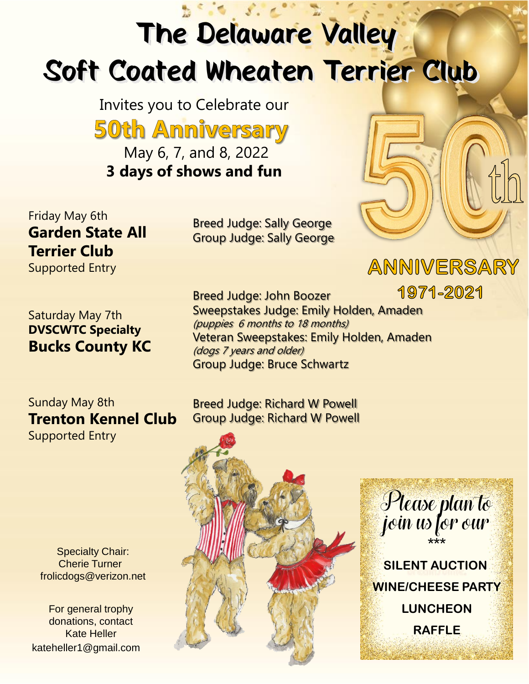## The Delaware Valley Soft Coated Wheaten Terrier Club

Invites you to Celebrate our **50th Anniversary** May 6, 7, and 8, 2022 **3 days of shows and fun**

Friday May 6th **Garden State All Terrier Club** Supported Entry

Saturday May 7th **DVSCWTC Specialty Bucks County KC**

Sunday May 8th **Trenton Kennel Club** Supported Entry

Specialty Chair: Cherie Turner frolicdogs@verizon.net

For general trophy donations, contact Kate Heller kateheller1@gmail.com Breed Judge: Sally George Group Judge: Sally George

1971-2021 Breed Judge: John Boozer Sweepstakes Judge: Emily Holden, Amaden (puppies 6 months to 18 months) Veteran Sweepstakes: Emily Holden, Amaden (dogs 7 years and older) Group Judge: Bruce Schwartz

Breed Judge: Richard W Powell Group Judge: Richard W Powell





ANNIVERSARY

**WINE/CHEESE PARTY LUNCHEON RAFFLE**